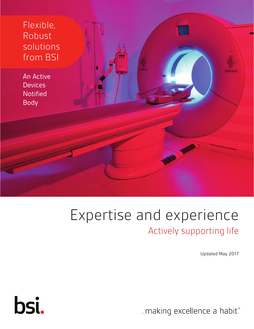

## Expertise and experience Actively supporting life

Updated May 2017

... making excellence a habit."

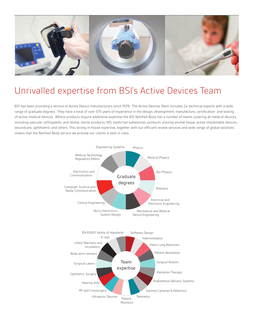

### Unrivalled expertise from BSI's Active Devices Team

BSI has been providing a service to Active Device manufacturers since 1979. The Active Devices Team includes 24 technical experts with a wide range of graduate degrees. They have a total of over 375 years of experience in the design, development, manufacture, certification and testing of active medical devices. Where products require additional expertise the BSI Notified Body has a number of teams covering all medical devices, including vascular, orthopaedic and dental, sterile products, IVD, medicinal substances, products utilizing animal tissue, active implantable devices, woundcare, ophthalmic and others. This strong in-house expertise, together with our efficient review services and wide range of global solutions means that the Notified Body service we provide our clients is best in class.

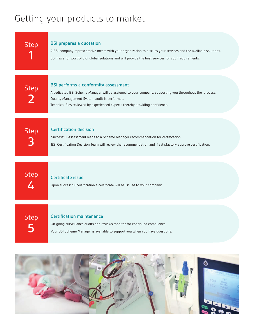## Getting your products to market